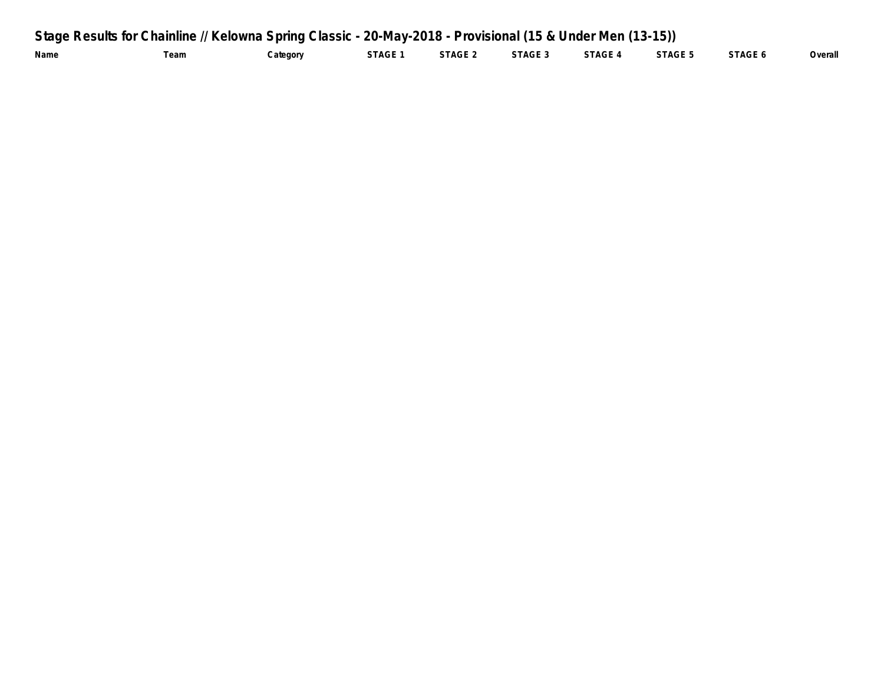| Stage Results for Chainline // Kelowna Spring Classic - 20-May-2018 - Provisional (15 & Under Men (13-15)) |      |          |         |         |         |         |         |         |         |  |
|------------------------------------------------------------------------------------------------------------|------|----------|---------|---------|---------|---------|---------|---------|---------|--|
| Name                                                                                                       | Team | Category | STAGE 1 | STAGE 2 | STAGE 3 | STAGE 4 | STAGE 5 | STAGE 6 | Overall |  |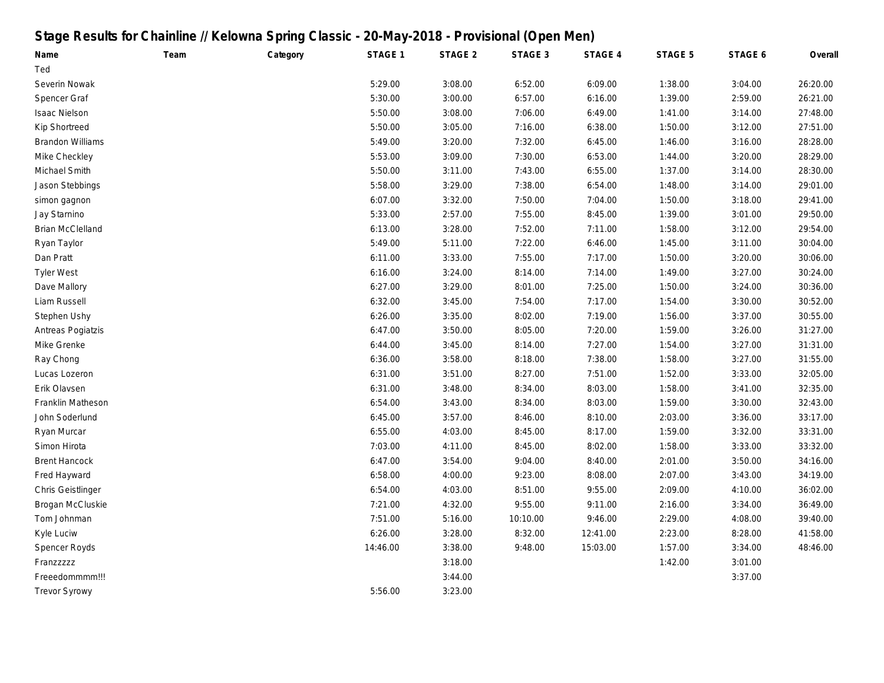# **Stage Results for Chainline // Kelowna Spring Classic - 20-May-2018 - Provisional (Open Men)**

| Name                    | Team | Category | STAGE 1  | STAGE 2 | STAGE 3  | STAGE 4  | STAGE 5 | STAGE 6 | Overall  |
|-------------------------|------|----------|----------|---------|----------|----------|---------|---------|----------|
| Ted                     |      |          |          |         |          |          |         |         |          |
| Severin Nowak           |      |          | 5:29.00  | 3:08.00 | 6:52.00  | 6:09.00  | 1:38.00 | 3:04.00 | 26:20.00 |
| Spencer Graf            |      |          | 5:30.00  | 3:00.00 | 6:57.00  | 6:16.00  | 1:39.00 | 2:59.00 | 26:21.00 |
| <b>Isaac Nielson</b>    |      |          | 5:50.00  | 3:08.00 | 7:06.00  | 6:49.00  | 1:41.00 | 3:14.00 | 27:48.00 |
| Kip Shortreed           |      |          | 5:50.00  | 3:05.00 | 7:16.00  | 6:38.00  | 1:50.00 | 3:12.00 | 27:51.00 |
| <b>Brandon Williams</b> |      |          | 5:49.00  | 3:20.00 | 7:32.00  | 6:45.00  | 1:46.00 | 3:16.00 | 28:28.00 |
| Mike Checkley           |      |          | 5:53.00  | 3:09.00 | 7:30.00  | 6:53.00  | 1:44.00 | 3:20.00 | 28:29.00 |
| Michael Smith           |      |          | 5:50.00  | 3:11.00 | 7:43.00  | 6:55.00  | 1:37.00 | 3:14.00 | 28:30.00 |
| Jason Stebbings         |      |          | 5:58.00  | 3:29.00 | 7:38.00  | 6:54.00  | 1:48.00 | 3:14.00 | 29:01.00 |
| simon gagnon            |      |          | 6:07.00  | 3:32.00 | 7:50.00  | 7:04.00  | 1:50.00 | 3:18.00 | 29:41.00 |
| Jay Starnino            |      |          | 5:33.00  | 2:57.00 | 7:55.00  | 8:45.00  | 1:39.00 | 3:01.00 | 29:50.00 |
| <b>Brian McClelland</b> |      |          | 6:13.00  | 3:28.00 | 7:52.00  | 7:11.00  | 1:58.00 | 3:12.00 | 29:54.00 |
| Ryan Taylor             |      |          | 5:49.00  | 5:11.00 | 7:22.00  | 6:46.00  | 1:45.00 | 3:11.00 | 30:04.00 |
| Dan Pratt               |      |          | 6:11.00  | 3:33.00 | 7:55.00  | 7:17.00  | 1:50.00 | 3:20.00 | 30:06.00 |
| <b>Tyler West</b>       |      |          | 6:16.00  | 3:24.00 | 8:14.00  | 7:14.00  | 1:49.00 | 3:27.00 | 30:24.00 |
| Dave Mallory            |      |          | 6:27.00  | 3:29.00 | 8:01.00  | 7:25.00  | 1:50.00 | 3:24.00 | 30:36.00 |
| Liam Russell            |      |          | 6:32.00  | 3:45.00 | 7:54.00  | 7:17.00  | 1:54.00 | 3:30.00 | 30:52.00 |
| Stephen Ushy            |      |          | 6:26.00  | 3:35.00 | 8:02.00  | 7:19.00  | 1:56.00 | 3:37.00 | 30:55.00 |
| Antreas Pogiatzis       |      |          | 6:47.00  | 3:50.00 | 8:05.00  | 7:20.00  | 1:59.00 | 3:26.00 | 31:27.00 |
| Mike Grenke             |      |          | 6:44.00  | 3:45.00 | 8:14.00  | 7:27.00  | 1:54.00 | 3:27.00 | 31:31.00 |
| Ray Chong               |      |          | 6:36.00  | 3:58.00 | 8:18.00  | 7:38.00  | 1:58.00 | 3:27.00 | 31:55.00 |
| Lucas Lozeron           |      |          | 6:31.00  | 3:51.00 | 8:27.00  | 7:51.00  | 1:52.00 | 3:33.00 | 32:05.00 |
| Erik Olavsen            |      |          | 6:31.00  | 3:48.00 | 8:34.00  | 8:03.00  | 1:58.00 | 3:41.00 | 32:35.00 |
| Franklin Matheson       |      |          | 6:54.00  | 3:43.00 | 8:34.00  | 8:03.00  | 1:59.00 | 3:30.00 | 32:43.00 |
| John Soderlund          |      |          | 6:45.00  | 3:57.00 | 8:46.00  | 8:10.00  | 2:03.00 | 3:36.00 | 33:17.00 |
| Ryan Murcar             |      |          | 6:55.00  | 4:03.00 | 8:45.00  | 8:17.00  | 1:59.00 | 3:32.00 | 33:31.00 |
| Simon Hirota            |      |          | 7:03.00  | 4:11.00 | 8:45.00  | 8:02.00  | 1:58.00 | 3:33.00 | 33:32.00 |
| <b>Brent Hancock</b>    |      |          | 6:47.00  | 3:54.00 | 9:04.00  | 8:40.00  | 2:01.00 | 3:50.00 | 34:16.00 |
| Fred Hayward            |      |          | 6:58.00  | 4:00.00 | 9:23.00  | 8:08.00  | 2:07.00 | 3:43.00 | 34:19.00 |
| Chris Geistlinger       |      |          | 6:54.00  | 4:03.00 | 8:51.00  | 9:55.00  | 2:09.00 | 4:10.00 | 36:02.00 |
| Brogan McCluskie        |      |          | 7:21.00  | 4:32.00 | 9:55.00  | 9:11.00  | 2:16.00 | 3:34.00 | 36:49.00 |
| Tom Johnman             |      |          | 7:51.00  | 5:16.00 | 10:10.00 | 9:46.00  | 2:29.00 | 4:08.00 | 39:40.00 |
| Kyle Luciw              |      |          | 6:26.00  | 3:28.00 | 8:32.00  | 12:41.00 | 2:23.00 | 8:28.00 | 41:58.00 |
| <b>Spencer Royds</b>    |      |          | 14:46.00 | 3:38.00 | 9:48.00  | 15:03.00 | 1:57.00 | 3:34.00 | 48:46.00 |
| Franzzzzzz              |      |          |          | 3:18.00 |          |          | 1:42.00 | 3:01.00 |          |
| Freeedommmm!!!          |      |          |          | 3:44.00 |          |          |         | 3:37.00 |          |
| <b>Trevor Syrowy</b>    |      |          | 5:56.00  | 3:23.00 |          |          |         |         |          |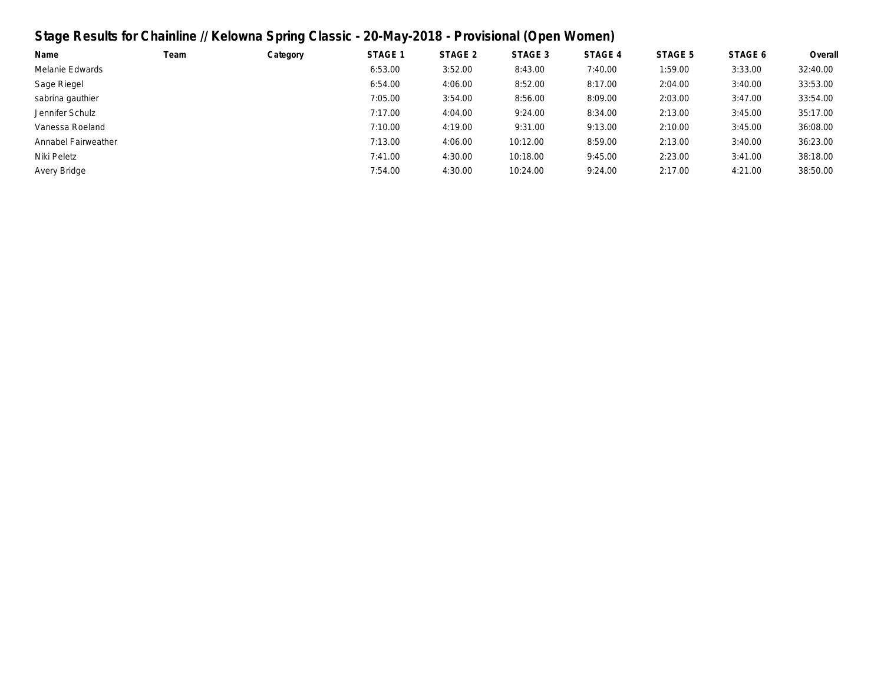# **Stage Results for Chainline // Kelowna Spring Classic - 20-May-2018 - Provisional (Open Women)**

| Name                | Team | Category | STAGE 1 | STAGE 2 | STAGE 3  | STAGE 4 | STAGE 5 | STAGE 6 | Overall  |
|---------------------|------|----------|---------|---------|----------|---------|---------|---------|----------|
| Melanie Edwards     |      |          | 6:53.00 | 3:52.00 | 8:43.00  | 7:40.00 | 1:59.00 | 3:33.00 | 32:40.00 |
| Sage Riegel         |      |          | 6:54.00 | 4:06.00 | 8:52.00  | 8:17.00 | 2:04.00 | 3:40.00 | 33:53.00 |
| sabrina gauthier    |      |          | 7:05.00 | 3:54.00 | 8:56.00  | 8:09.00 | 2:03.00 | 3:47.00 | 33:54.00 |
| Jennifer Schulz     |      |          | 7:17.00 | 4:04.00 | 9:24.00  | 8:34.00 | 2:13.00 | 3:45.00 | 35:17.00 |
| Vanessa Roeland     |      |          | 7:10.00 | 4:19.00 | 9:31.00  | 9:13.00 | 2:10.00 | 3:45.00 | 36:08.00 |
| Annabel Fairweather |      |          | 7:13.00 | 4:06.00 | 10:12.00 | 8:59.00 | 2:13.00 | 3:40.00 | 36:23.00 |
| Niki Peletz         |      |          | 7:41.00 | 4:30.00 | 10:18.00 | 9:45.00 | 2:23.00 | 3:41.00 | 38:18.00 |
| Avery Bridge        |      |          | 7:54.00 | 4:30.00 | 10:24.00 | 9:24.00 | 2:17.00 | 4:21.00 | 38:50.00 |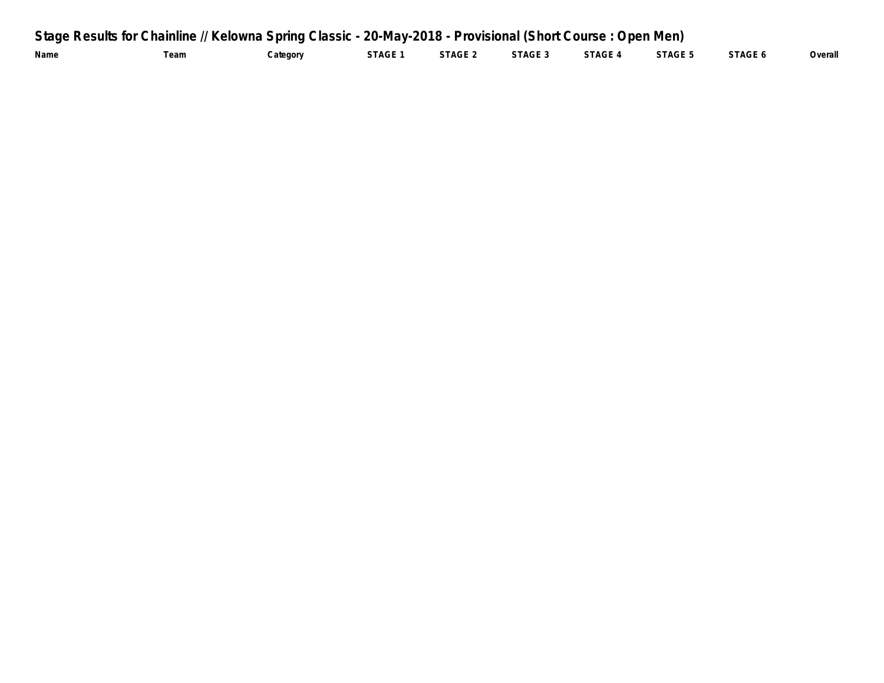| Stage Results for Chainline // Kelowna Spring Classic - 20-May-2018 - Provisional (Short Course: Open Men) |            |          |         |         |         |         |         |         |         |  |  |
|------------------------------------------------------------------------------------------------------------|------------|----------|---------|---------|---------|---------|---------|---------|---------|--|--|
| Name                                                                                                       | $\tau$ eam | Category | STAGE 1 | STAGE 2 | STAGE 3 | STAGE 4 | STAGE 5 | STAGE 6 | Overall |  |  |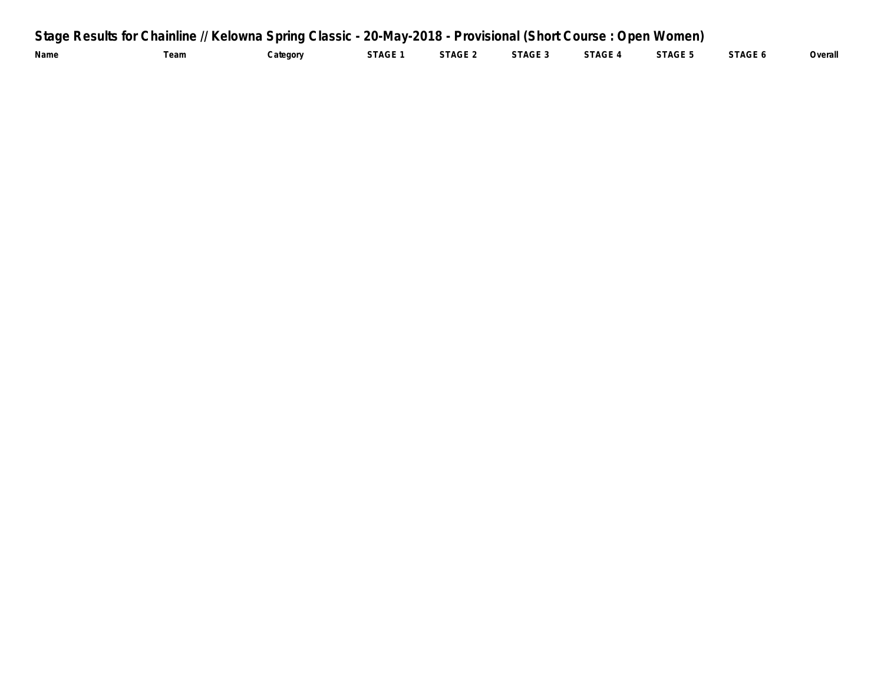|      |      | Stage Results for Chainline // Kelowna Spring Classic - 20-May-2018 - Provisional (Short Course: Open Women) |         |         |         |         |         |         |         |
|------|------|--------------------------------------------------------------------------------------------------------------|---------|---------|---------|---------|---------|---------|---------|
| Name | 'eam | Category                                                                                                     | STAGE 1 | STAGE 2 | STAGE 3 | STAGE 4 | STAGE 5 | STAGE 6 | Overall |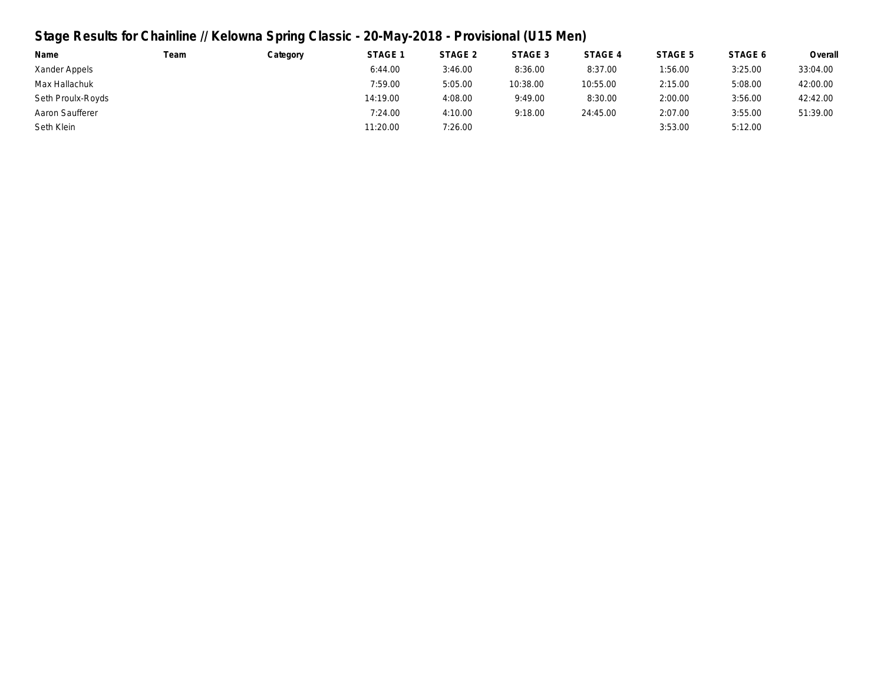# **Stage Results for Chainline // Kelowna Spring Classic - 20-May-2018 - Provisional (U15 Men)**

| Name              | Team | Category | STAGE 1  | STAGE 2 | STAGE 3  | STAGE 4  | STAGE 5 | STAGE 6 | Overall  |
|-------------------|------|----------|----------|---------|----------|----------|---------|---------|----------|
| Xander Appels     |      |          | 6:44.00  | 3:46.00 | 8:36.00  | 8:37.00  | 1:56.00 | 3:25.00 | 33:04.00 |
| Max Hallachuk     |      |          | 7:59.00  | 5:05.00 | 10:38.00 | 10:55.00 | 2:15.00 | 5:08.00 | 42:00.00 |
| Seth Proulx-Royds |      |          | 14:19.00 | 4:08.00 | 9:49.00  | 8:30.00  | 2:00.00 | 3:56.00 | 42:42.00 |
| Aaron Saufferer   |      |          | 7:24.00  | 4:10.00 | 9:18.00  | 24:45.00 | 2:07.00 | 3:55.00 | 51:39.00 |
| Seth Klein        |      |          | 11:20.00 | 7:26.00 |          |          | 3:53.00 | 5:12.00 |          |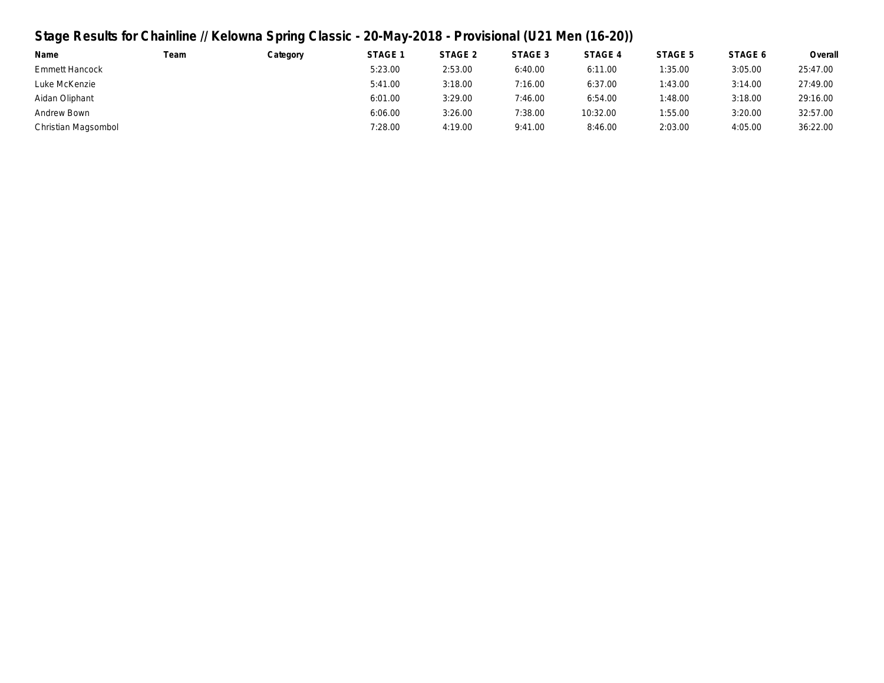## **Stage Results for Chainline // Kelowna Spring Classic - 20-May-2018 - Provisional (U21 Men (16-20))**

| Name                  | Team | Category | STAGE <sup>1</sup> | STAGE 2 | STAGE 3 | STAGE 4  | STAGE 5 | STAGE 6 | Overall  |
|-----------------------|------|----------|--------------------|---------|---------|----------|---------|---------|----------|
| <b>Emmett Hancock</b> |      |          | 5:23.00            | 2:53.00 | 6:40.00 | 6:11.00  | 1:35.00 | 3:05.00 | 25:47.00 |
| Luke McKenzie         |      |          | 5:41.00            | 3:18.00 | 7:16.00 | 6:37.00  | 1:43.00 | 3:14.00 | 27:49.00 |
| Aidan Oliphant        |      |          | 6:01.00            | 3:29.00 | 7:46.00 | 6:54.00  | 1:48.00 | 3:18.00 | 29:16.00 |
| Andrew Bown           |      |          | 6:06.00            | 3:26.00 | 7:38.00 | 10:32.00 | 1:55.00 | 3:20.00 | 32:57.00 |
| Christian Magsombol   |      |          | 7:28.00            | 4:19.00 | 9:41.00 | 8:46.00  | 2:03.00 | 4:05.00 | 36:22.00 |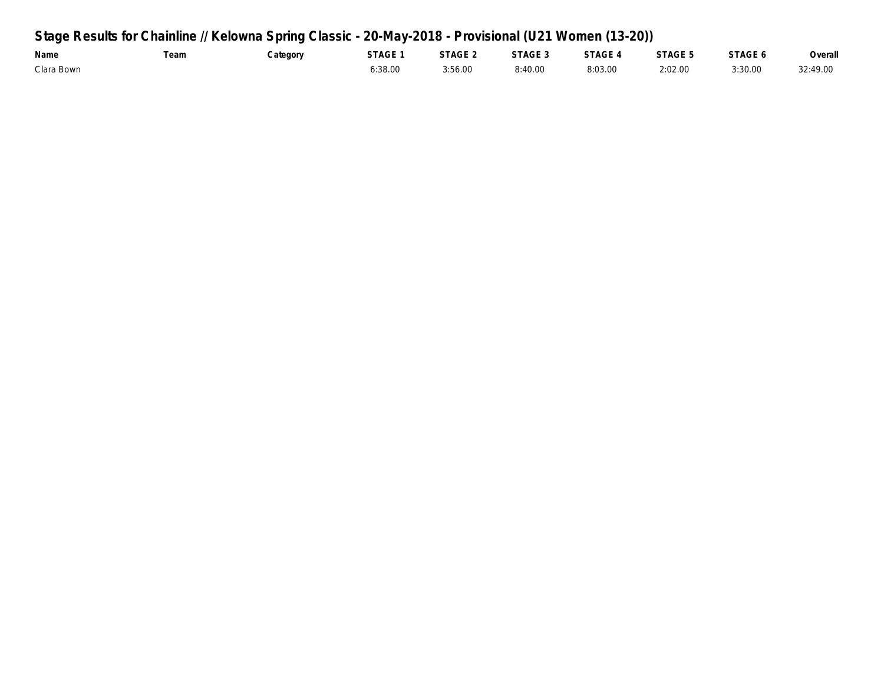## **Stage Results for Chainline // Kelowna Spring Classic - 20-May-2018 - Provisional (U21 Women (13-20))**

| Name       | eam | Category | STAGE 1 | STAGE 2 | STAGE 3 | STAGE 4 | STAGE 5 | STAGE 6 | Overall  |
|------------|-----|----------|---------|---------|---------|---------|---------|---------|----------|
| Clara Bown |     |          | 6:38.00 | 3:56.00 | 8:40.00 | 8:03.00 | 2:02.00 | 3:30.00 | 32:49.00 |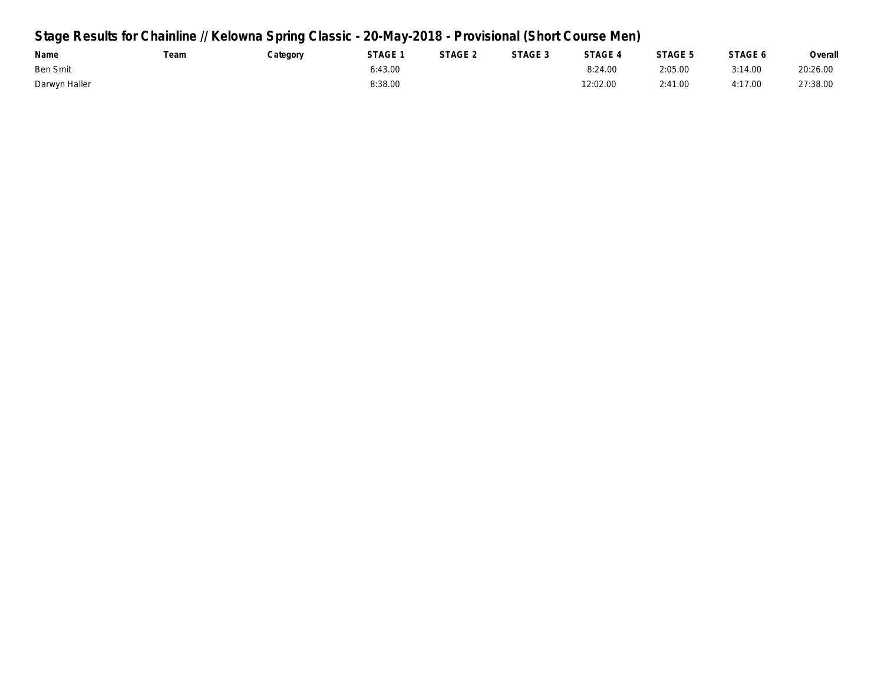## **Stage Results for Chainline // Kelowna Spring Classic - 20-May-2018 - Provisional (Short Course Men)**

| Name          | Team | Category | STAGE 1 | STAGE 2 | STAGE 3 | STAGE 4  | STAGE 5 | STAGE 6 | Overall  |
|---------------|------|----------|---------|---------|---------|----------|---------|---------|----------|
| Ben Smit      |      |          | 6:43.00 |         |         | 8:24.00  | 2:05.00 | 3:14.00 | 20:26.00 |
| Darwyn Haller |      |          | 8:38.00 |         |         | 12:02.00 | 2:41.00 | 4:17.00 | 27:38.00 |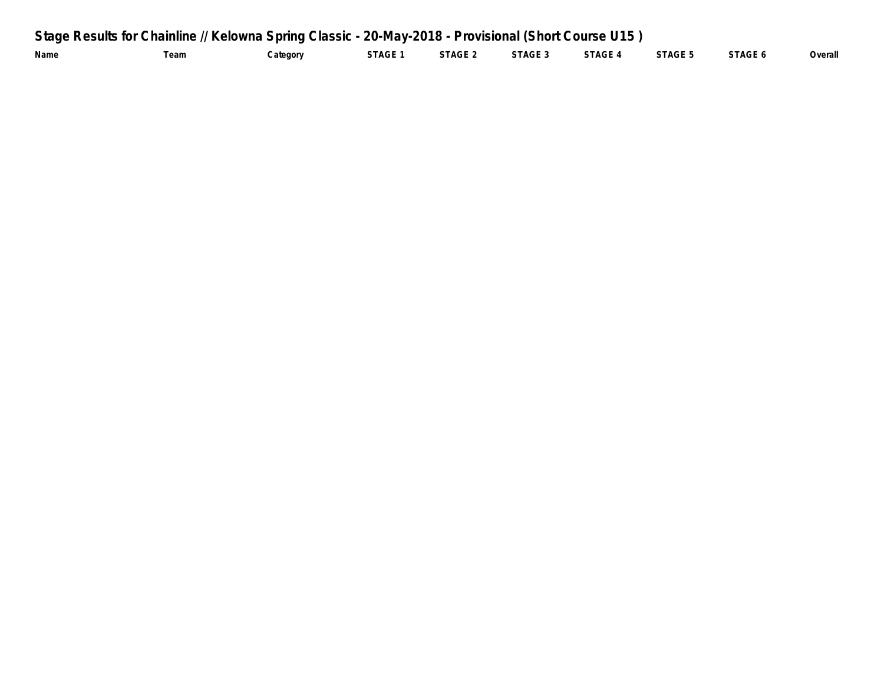| Stage Results for Chainline // Kelowna Spring Classic - 20-May-2018 - Provisional (Short Course U15) |      |          |         |         |         |         |         |         |         |  |  |
|------------------------------------------------------------------------------------------------------|------|----------|---------|---------|---------|---------|---------|---------|---------|--|--|
| Name                                                                                                 | Team | Category | STAGE 1 | STAGE 2 | STAGE 3 | STAGE 4 | STAGE 5 | STAGE 6 | Overall |  |  |